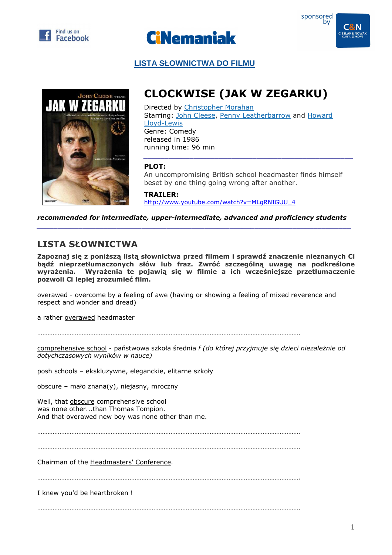





 **LISTA SŁOWNICTWA DO FILMU**



## **CLOCKWISE (JAK W ZEGARKU)**

Directed by Christopher Morahan Starring: John Cleese, Penny Leatherbarrow and Howard Lloyd-Lewis Genre: Comedy released in 1986 running time: 96 min

## **PLOT:**

An uncompromising British school headmaster finds himself beset by one thing going wrong after another.

*\_\_\_\_\_\_\_\_\_\_\_\_\_\_\_\_\_\_\_\_\_\_\_\_\_\_\_\_\_\_\_\_\_\_\_\_\_\_\_\_\_\_\_\_\_\_\_\_\_\_* 

**TRAILER:**  http://www.youtube.com/watch?v=MLgRNIGUU\_4

*recommended for intermediate, upper-intermediate, advanced and proficiency students \_\_\_\_\_\_\_\_\_\_\_\_\_\_\_\_\_\_\_\_\_\_\_\_\_\_\_\_\_\_\_\_\_\_\_\_\_\_\_\_\_\_\_\_\_\_\_\_\_\_\_\_\_\_\_\_\_\_\_\_\_\_\_\_\_\_\_\_\_\_\_\_\_\_\_* 

## **LISTA SŁOWNICTWA**

**Zapoznaj się z poniższą listą słownictwa przed filmem i sprawdź znaczenie nieznanych Ci bądź nieprzetłumaczonych słów lub fraz. Zwróć szczególną uwagę na podkreślone wyrażenia. Wyrażenia te pojawią się w filmie a ich wcześniejsze przetłumaczenie pozwoli Ci lepiej zrozumieć film.** 

overawed - overcome by a feeling of awe (having or showing a feeling of mixed reverence and respect and wonder and dread)

a rather overawed headmaster

……………………………………………………………………………………………………………………………………….

comprehensive school - państwowa szkoła średnia *f (do której przyjmuje się dzieci niezależnie od dotychczasowych wyników w nauce)*

posh schools – ekskluzywne, eleganckie, elitarne szkoły

obscure – mało znana(y), niejasny, mroczny

Well, that obscure comprehensive school was none other...than Thomas Tompion. And that overawed new boy was none other than me.

……………………………………………………………………………………………………………………………………….

……………………………………………………………………………………………………………………………………….

Chairman of the Headmasters' Conference.

……………………………………………………………………………………………………………………………………….

I knew you'd be heartbroken !

……………………………………………………………………………………………………………………………………….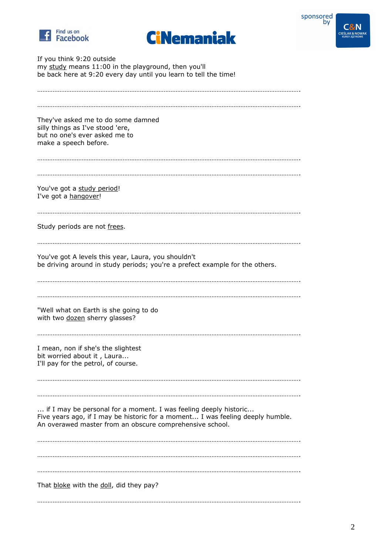





If you think 9:20 outside my study means 11:00 in the playground, then you'll be back here at 9:20 every day until you learn to tell the time!

| They've asked me to do some damned<br>silly things as I've stood 'ere,<br>but no one's ever asked me to<br>make a speech before.                                                                               |
|----------------------------------------------------------------------------------------------------------------------------------------------------------------------------------------------------------------|
| You've got a study period!<br>I've got a hangover!                                                                                                                                                             |
| Study periods are not frees.                                                                                                                                                                                   |
| You've got A levels this year, Laura, you shouldn't<br>be driving around in study periods; you're a prefect example for the others.                                                                            |
| "Well what on Earth is she going to do<br>with two dozen sherry glasses?                                                                                                                                       |
| I mean, non if she's the slightest<br>bit worried about it, Laura<br>I'll pay for the petrol, of course.                                                                                                       |
| if I may be personal for a moment. I was feeling deeply historic<br>Five years ago, if I may be historic for a moment I was feeling deeply humble.<br>An overawed master from an obscure comprehensive school. |
|                                                                                                                                                                                                                |
|                                                                                                                                                                                                                |
| That bloke with the doll, did they pay?                                                                                                                                                                        |
|                                                                                                                                                                                                                |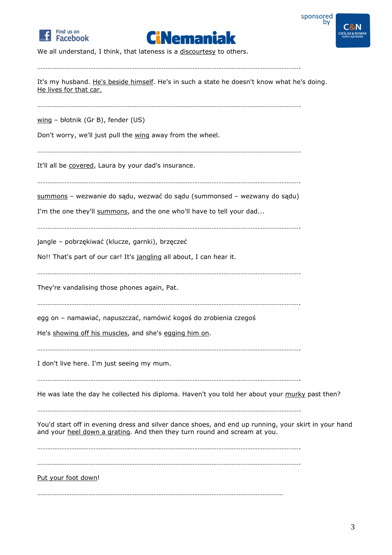





We all understand, I think, that lateness is a discourtesy to others.

………………………………………………………………………………………………………………………………………. It's my husband. He's beside himself. He's in such a state he doesn't know what he's doing. He lives for that car. ………………………………………………………………………………………………………………………………………. wing – błotnik (Gr B), fender (US) Don't worry, we'll just pull the wing away from the wheel. ………………………………………………………………………………………………………………………………………. It'll all be covered, Laura by your dad's insurance. ………………………………………………………………………………………………………………………………………. summons – wezwanie do sądu, wezwać do sądu (summonsed – wezwany do sądu) I'm the one they'll summons, and the one who'll have to tell your dad... ………………………………………………………………………………………………………………………………………. jangle – pobrzękiwać (klucze, garnki), brzęczeć No!! That's part of our car! It's jangling all about, I can hear it. ………………………………………………………………………………………………………………………………………. They're vandalising those phones again, Pat. ………………………………………………………………………………………………………………………………………. egg on – namawiać, napuszczać, namówić kogoś do zrobienia czegoś He's showing off his muscles, and she's egging him on. ………………………………………………………………………………………………………………………………………. I don't live here. I'm just seeing my mum. ………………………………………………………………………………………………………………………………………. He was late the day he collected his diploma. Haven't you told her about your murky past then? ………………………………………………………………………………………………………………………………………. You'd start off in evening dress and silver dance shoes, and end up running, your skirt in your hand and your heel down a grating. And then they turn round and scream at you. ………………………………………………………………………………………………………………………………………. ………………………………………………………………………………………………………………………………………. Put your foot down! ………………………………………………………………………………………………………………………………